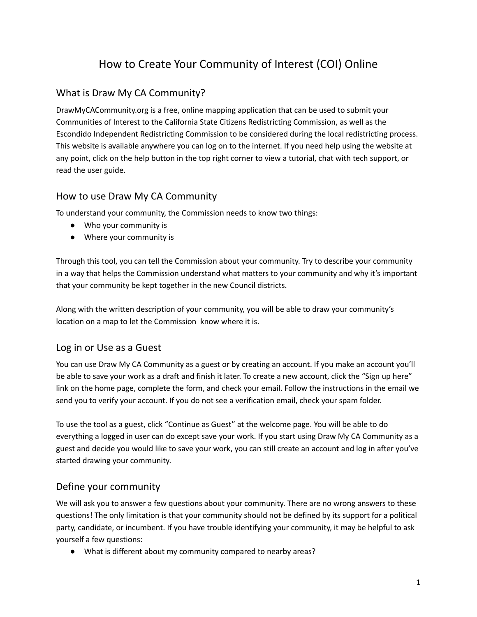# How to Create Your Community of Interest (COI) Online

### What is Draw My CA Community?

DrawMyCACommunity.org is a free, online mapping application that can be used to submit your Communities of Interest to the California State Citizens Redistricting Commission, as well as the Escondido Independent Redistricting Commission to be considered during the local redistricting process. This website is available anywhere you can log on to the internet. If you need help using the website at any point, click on the help button in the top right corner to view a tutorial, chat with tech support, or read the user guide.

#### How to use Draw My CA Community

To understand your community, the Commission needs to know two things:

- Who your community is
- Where your community is

Through this tool, you can tell the Commission about your community. Try to describe your community in a way that helps the Commission understand what matters to your community and why it's important that your community be kept together in the new Council districts.

Along with the written description of your community, you will be able to draw your community's location on a map to let the Commission know where it is.

#### Log in or Use as a Guest

You can use Draw My CA Community as a guest or by creating an account. If you make an account you'll be able to save your work as a draft and finish it later. To create a new account, click the "Sign up here" link on the home page, complete the form, and check your email. Follow the instructions in the email we send you to verify your account. If you do not see a verification email, check your spam folder.

To use the tool as a guest, click "Continue as Guest" at the welcome page. You will be able to do everything a logged in user can do except save your work. If you start using Draw My CA Community as a guest and decide you would like to save your work, you can still create an account and log in after you've started drawing your community.

#### Define your community

We will ask you to answer a few questions about your community. There are no wrong answers to these questions! The only limitation is that your community should not be defined by its support for a political party, candidate, or incumbent. If you have trouble identifying your community, it may be helpful to ask yourself a few questions:

● What is different about my community compared to nearby areas?